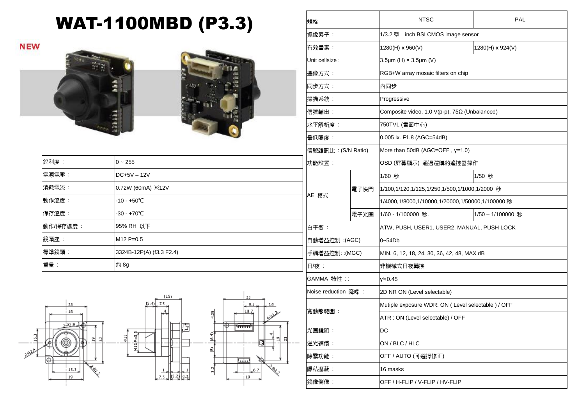## WAT-1100MBD (P3.3)

**NEW** 





| 銳利度:     | $0 - 255$                         | IJ           |
|----------|-----------------------------------|--------------|
| 電源電壓:    | $DC+5V - 12V$                     |              |
| 消耗電流:    | 0.72W (60mA) $\divideontimes$ 12V |              |
| 動作溫度:    | $-10 - +50^{\circ}C$              | $\mathsf{A}$ |
| 保存溫度:    | $-30 - +70^{\circ}C$              |              |
| 動作/保存濕度: | 95% RH 以下                         | É            |
| 鏡頭座:     | $M12 P=0.5$                       | 自            |
| 標準鏡頭:    | 3324B-12P(A) (f3.3 F2.4)          | 手            |
| 重量:      | 約 8g                              | $\Box$       |